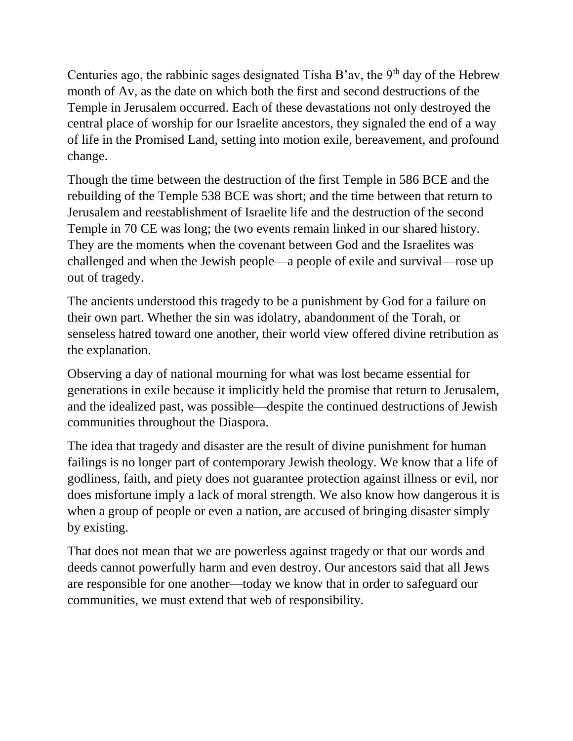Centuries ago, the rabbinic sages designated Tisha B'av, the  $9<sup>th</sup>$  day of the Hebrew month of Av, as the date on which both the first and second destructions of the Temple in Jerusalem occurred. Each of these devastations not only destroyed the central place of worship for our Israelite ancestors, they signaled the end of a way of life in the Promised Land, setting into motion exile, bereavement, and profound change.

Though the time between the destruction of the first Temple in 586 BCE and the rebuilding of the Temple 538 BCE was short; and the time between that return to Jerusalem and reestablishment of Israelite life and the destruction of the second Temple in 70 CE was long; the two events remain linked in our shared history. They are the moments when the covenant between God and the Israelites was challenged and when the Jewish people—a people of exile and survival—rose up out of tragedy.

The ancients understood this tragedy to be a punishment by God for a failure on their own part. Whether the sin was idolatry, abandonment of the Torah, or senseless hatred toward one another, their world view offered divine retribution as the explanation.

Observing a day of national mourning for what was lost became essential for generations in exile because it implicitly held the promise that return to Jerusalem, and the idealized past, was possible—despite the continued destructions of Jewish communities throughout the Diaspora.

The idea that tragedy and disaster are the result of divine punishment for human failings is no longer part of contemporary Jewish theology. We know that a life of godliness, faith, and piety does not guarantee protection against illness or evil, nor does misfortune imply a lack of moral strength. We also know how dangerous it is when a group of people or even a nation, are accused of bringing disaster simply by existing.

That does not mean that we are powerless against tragedy or that our words and deeds cannot powerfully harm and even destroy. Our ancestors said that all Jews are responsible for one another—today we know that in order to safeguard our communities, we must extend that web of responsibility.